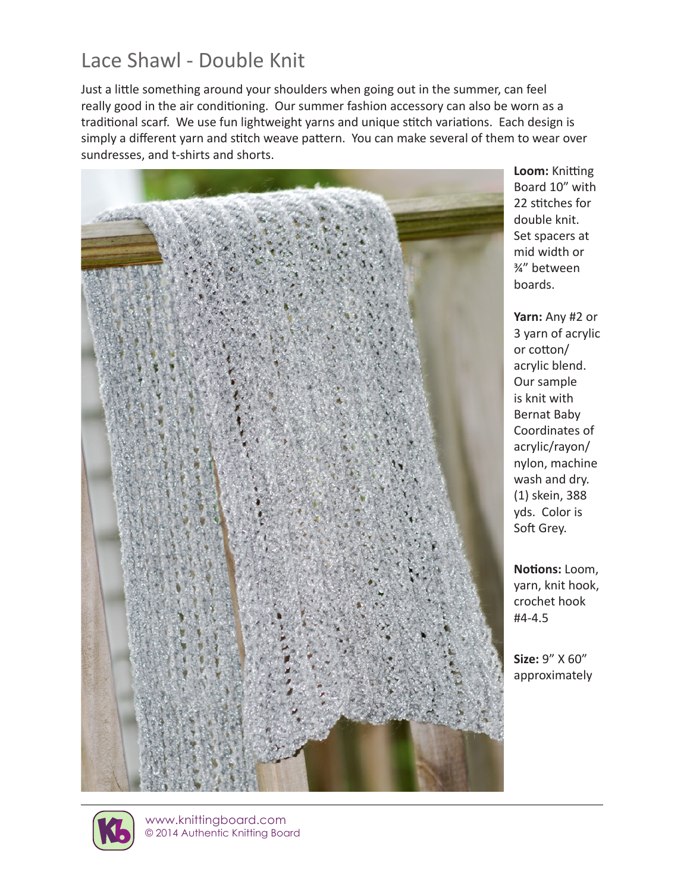# Lace Shawl - Double Knit

Just a little something around your shoulders when going out in the summer, can feel really good in the air conditioning. Our summer fashion accessory can also be worn as a traditional scarf. We use fun lightweight yarns and unique stitch variations. Each design is simply a different yarn and stitch weave pattern. You can make several of them to wear over sundresses, and t-shirts and shorts.



**Loom:** Knitting Board 10" with 22 stitches for double knit. Set spacers at mid width or ¾" between boards.

**Yarn:** Any #2 or 3 yarn of acrylic or cotton/ acrylic blend. Our sample is knit with Bernat Baby Coordinates of acrylic/rayon/ nylon, machine wash and dry. (1) skein, 388 yds. Color is Soft Grey.

**Notions:** Loom, yarn, knit hook, crochet hook #4-4.5

**Size:** 9" X 60" approximately



www.knittingboard.com © 2014 Authentic Knitting Board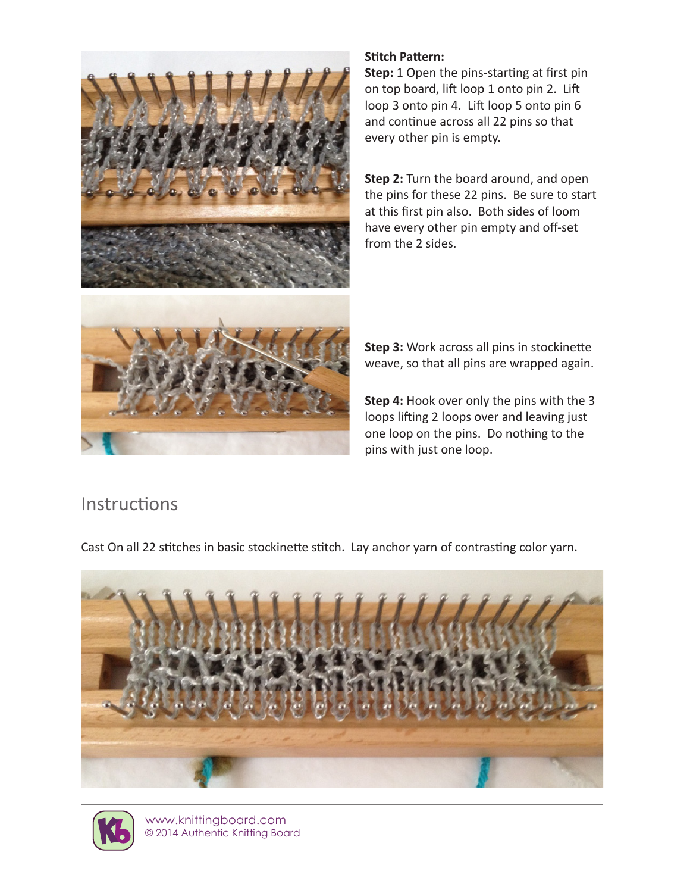

### **Stitch Pattern:**

**Step:** 1 Open the pins-starting at first pin on top board, lift loop 1 onto pin 2. Lift loop 3 onto pin 4. Lift loop 5 onto pin 6 and continue across all 22 pins so that every other pin is empty.

**Step 2:** Turn the board around, and open the pins for these 22 pins. Be sure to start at this first pin also. Both sides of loom have every other pin empty and off-set from the 2 sides.

**Step 3:** Work across all pins in stockinette weave, so that all pins are wrapped again.

**Step 4:** Hook over only the pins with the 3 loops lifting 2 loops over and leaving just one loop on the pins. Do nothing to the pins with just one loop.

## **Instructions**

Cast On all 22 stitches in basic stockinette stitch. Lay anchor yarn of contrasting color yarn.





www.knittingboard.com © 2014 Authentic Knitting Board